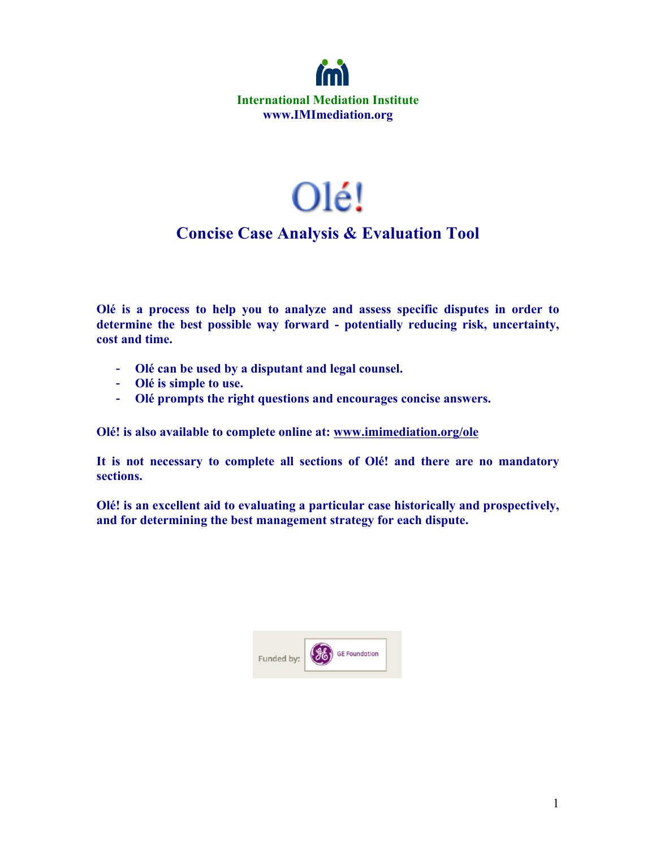

# Olé!

# **Concise Case Analysis & Evaluation Tool**

**Olé is a process to help you to analyze and assess specific disputes in order to determine the best possible way forward - potentially reducing risk, uncertainty, cost and time.**

- **Olé can be used by a disputant and legal counsel.**
- **Olé is simple to use.**
- **Olé prompts the right questions and encourages concise answers.**

**Olé! is also available to complete online at: www.imimediation.org/ole**

**It is not necessary to complete all sections of Olé! and there are no mandatory sections.**

**Olé! is an excellent aid to evaluating a particular case historically and prospectively, and for determining the best management strategy for each dispute.**

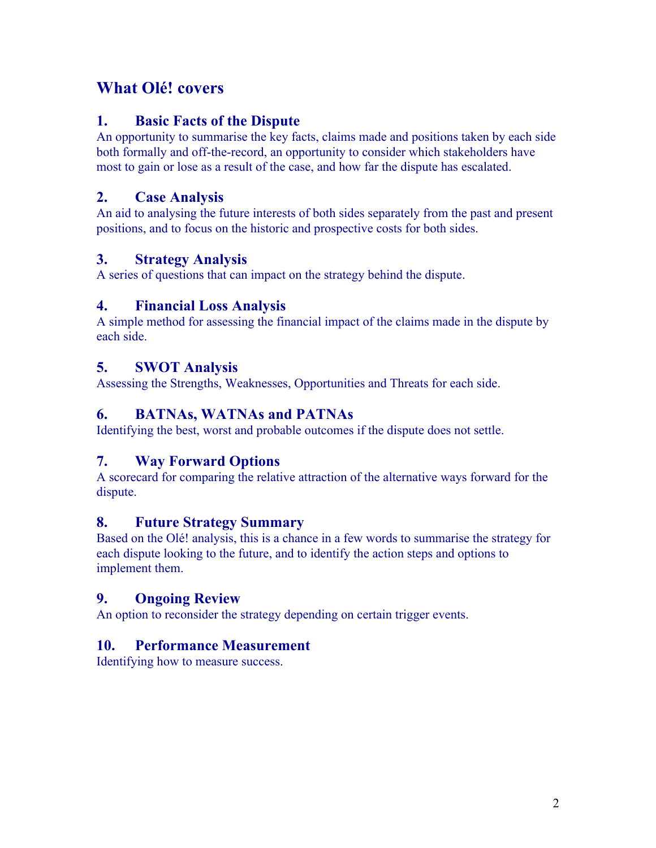# **What Olé! covers**

#### **1. Basic Facts of the Dispute**

An opportunity to summarise the key facts, claims made and positions taken by each side both formally and off-the-record, an opportunity to consider which stakeholders have most to gain or lose as a result of the case, and how far the dispute has escalated.

#### **2. Case Analysis**

An aid to analysing the future interests of both sides separately from the past and present positions, and to focus on the historic and prospective costs for both sides.

#### **3. Strategy Analysis**

A series of questions that can impact on the strategy behind the dispute.

#### **4. Financial Loss Analysis**

A simple method for assessing the financial impact of the claims made in the dispute by each side.

#### **5. SWOT Analysis**

Assessing the Strengths, Weaknesses, Opportunities and Threats for each side.

#### **6. BATNAs, WATNAs and PATNAs**

Identifying the best, worst and probable outcomes if the dispute does not settle.

#### **7. Way Forward Options**

A scorecard for comparing the relative attraction of the alternative ways forward for the dispute.

#### **8. Future Strategy Summary**

Based on the Olé! analysis, this is a chance in a few words to summarise the strategy for each dispute looking to the future, and to identify the action steps and options to implement them.

## **9. Ongoing Review**

An option to reconsider the strategy depending on certain trigger events.

#### **10. Performance Measurement**

Identifying how to measure success.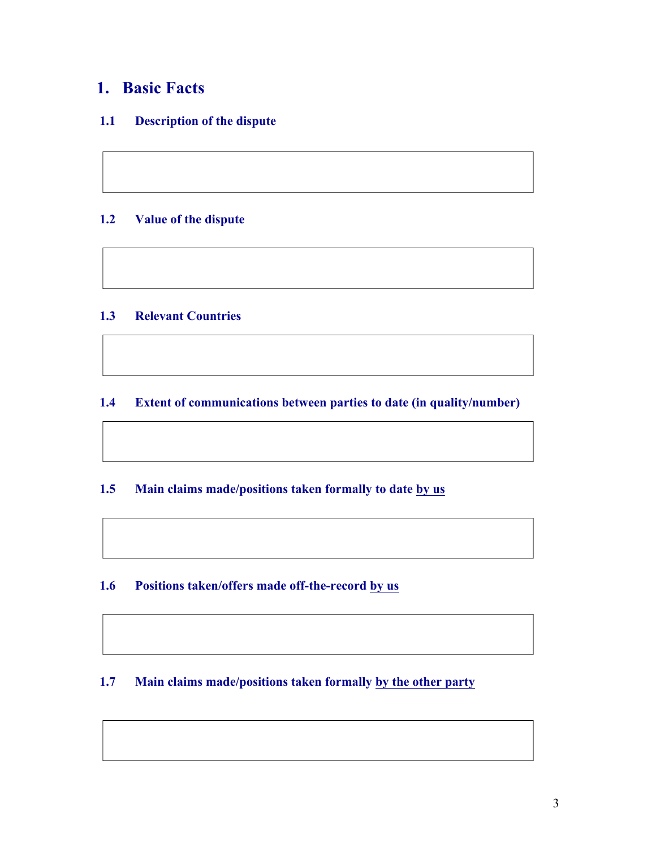# **1. Basic Facts**

#### **1.1 Description of the dispute**

#### **1.2 Value of the dispute**

#### **1.3 Relevant Countries**

#### **1.4 Extent of communications between parties to date (in quality/number)**

#### **1.5 Main claims made/positions taken formally to date by us**

#### **1.6 Positions taken/offers made off-the-record by us**

#### **1.7 Main claims made/positions taken formally by the other party**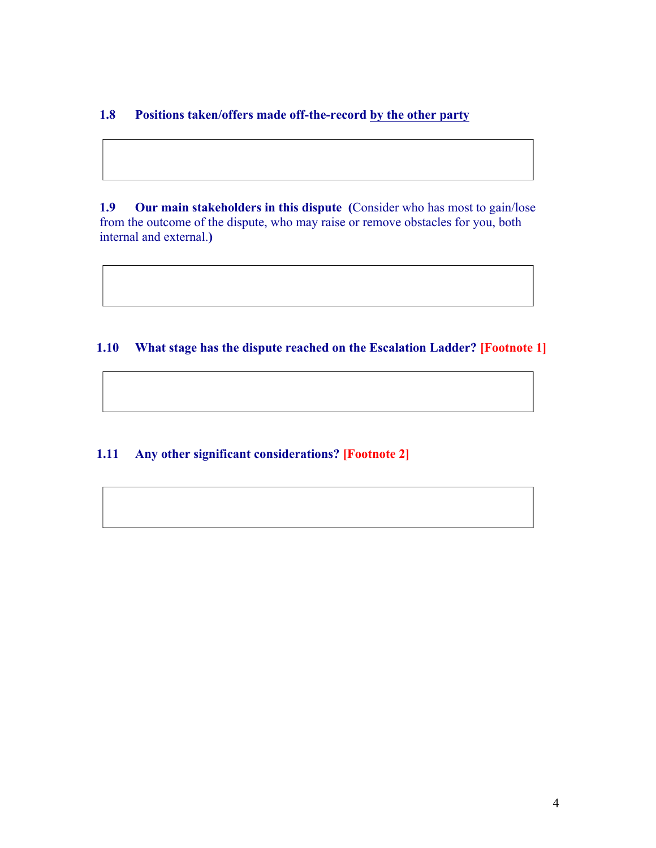#### **1.8 Positions taken/offers made off-the-record by the other party**

**1.9 Our main stakeholders in this dispute (**Consider who has most to gain/lose from the outcome of the dispute, who may raise or remove obstacles for you, both internal and external.**)**

#### **1.10 What stage has the dispute reached on the Escalation Ladder? [Footnote 1]**

#### **1.11 Any other significant considerations? [Footnote 2]**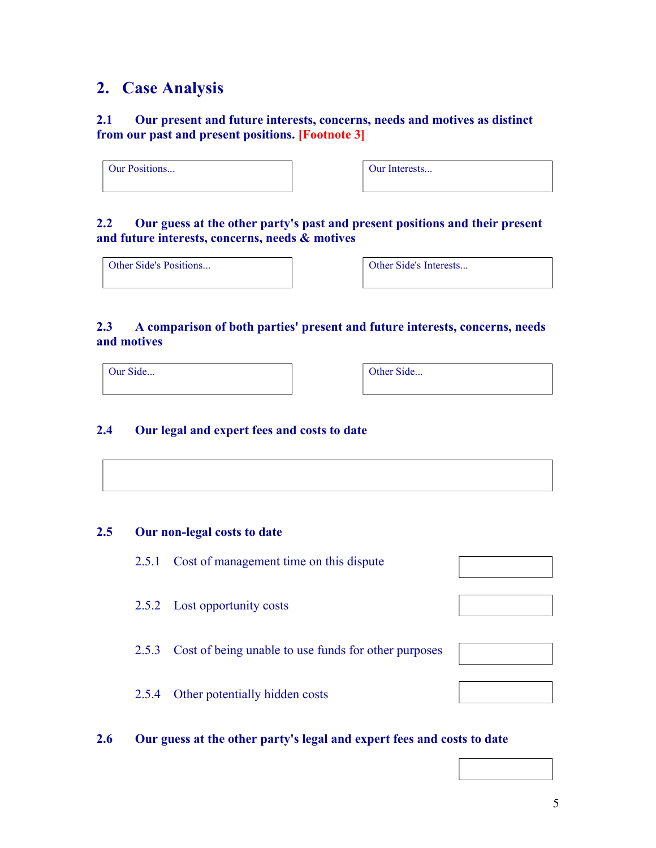## **2. Case Analysis**

#### **2.1 Our present and future interests, concerns, needs and motives as distinct from our past and present positions. [Footnote 3]**

| Our Positions |  |  |
|---------------|--|--|
|               |  |  |

Our Interests...

#### **2.2 Our guess at the other party's past and present positions and their present and future interests, concerns, needs & motives**

Other Side's Positions...

#### **2.3 A comparison of both parties' present and future interests, concerns, needs and motives**

Our Side... **Our Side... Our Side... Our Side...** 

#### **2.4 Our legal and expert fees and costs to date**

#### **2.5 Our non-legal costs to date**

- 2.5.1 Cost of management time on this dispute
- 2.5.2 Lost opportunity costs
- 2.5.3 Cost of being unable to use funds for other purposes
- 2.5.4 Other potentially hidden costs

#### **2.6 Our guess at the other party's legal and expert fees and costs to date**









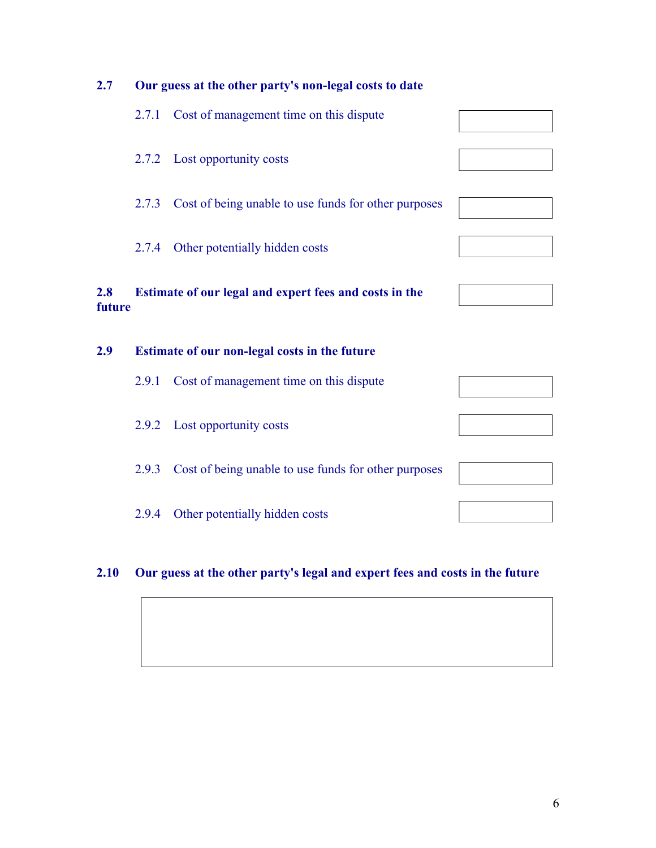

#### **2.10 Our guess at the other party's legal and expert fees and costs in the future**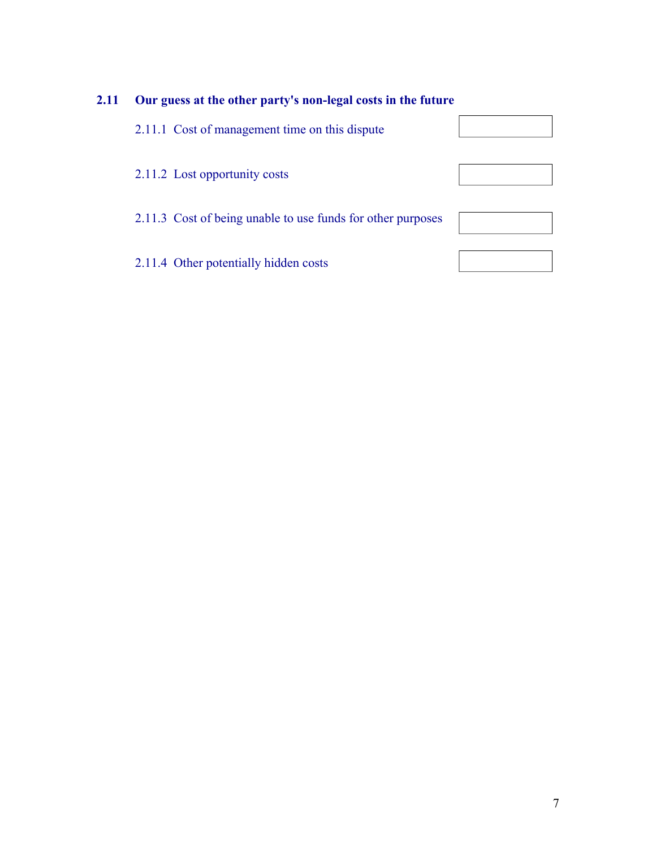## **2.11 Our guess at the other party's non-legal costs in the future**

| 2.11.1 Cost of management time on this dispute              |  |
|-------------------------------------------------------------|--|
| 2.11.2 Lost opportunity costs                               |  |
|                                                             |  |
| 2.11.3 Cost of being unable to use funds for other purposes |  |
|                                                             |  |
| 2.11.4 Other potentially hidden costs                       |  |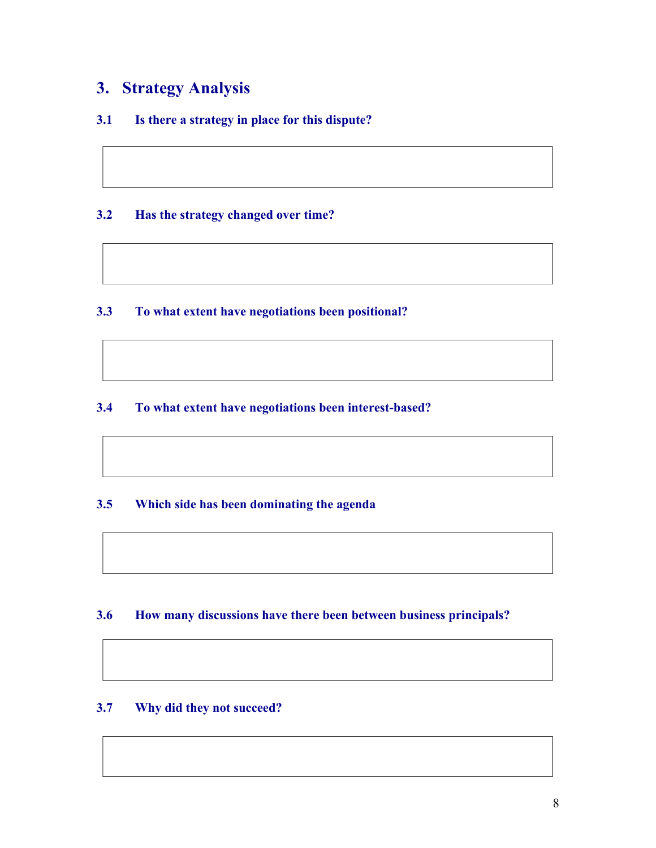# **3. Strategy Analysis**

#### **3.1 Is there a strategy in place for this dispute?**

#### **3.2 Has the strategy changed over time?**

#### **3.3 To what extent have negotiations been positional?**

#### **3.4 To what extent have negotiations been interest-based?**

#### **3.5 Which side has been dominating the agenda**

#### **3.6 How many discussions have there been between business principals?**

#### **3.7 Why did they not succeed?**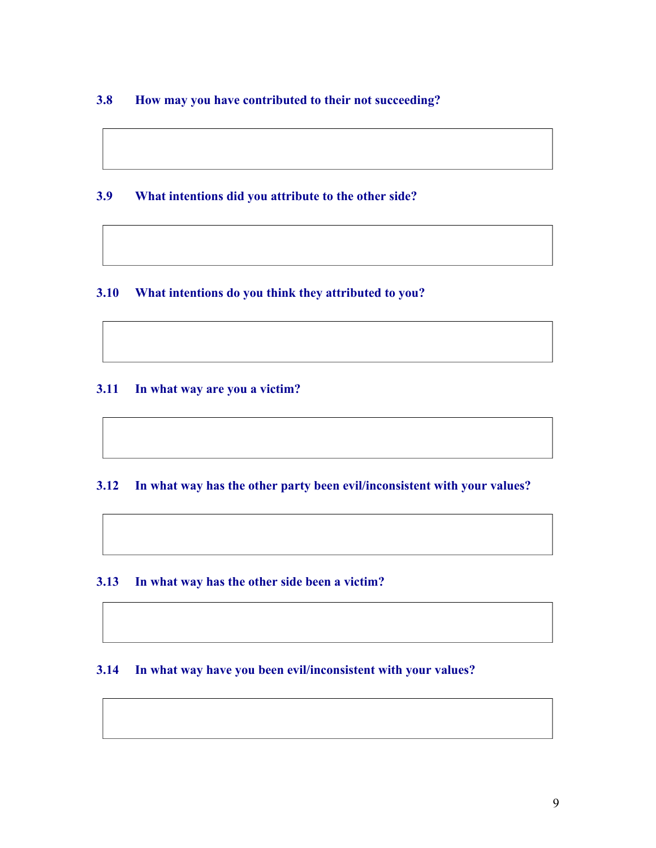#### **3.8 How may you have contributed to their not succeeding?**

#### **3.9 What intentions did you attribute to the other side?**

#### **3.10 What intentions do you think they attributed to you?**

#### **3.11 In what way are you a victim?**

#### **3.12 In what way has the other party been evil/inconsistent with your values?**

#### **3.13 In what way has the other side been a victim?**

#### **3.14 In what way have you been evil/inconsistent with your values?**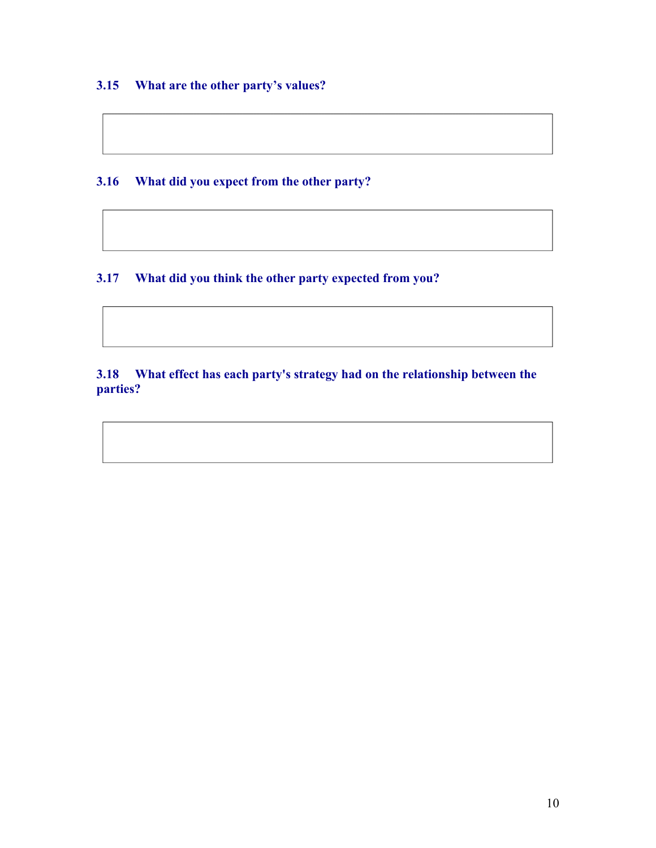#### **3.15 What are the other party's values?**

**3.16 What did you expect from the other party?**

**3.17 What did you think the other party expected from you?**

**3.18 What effect has each party's strategy had on the relationship between the parties?**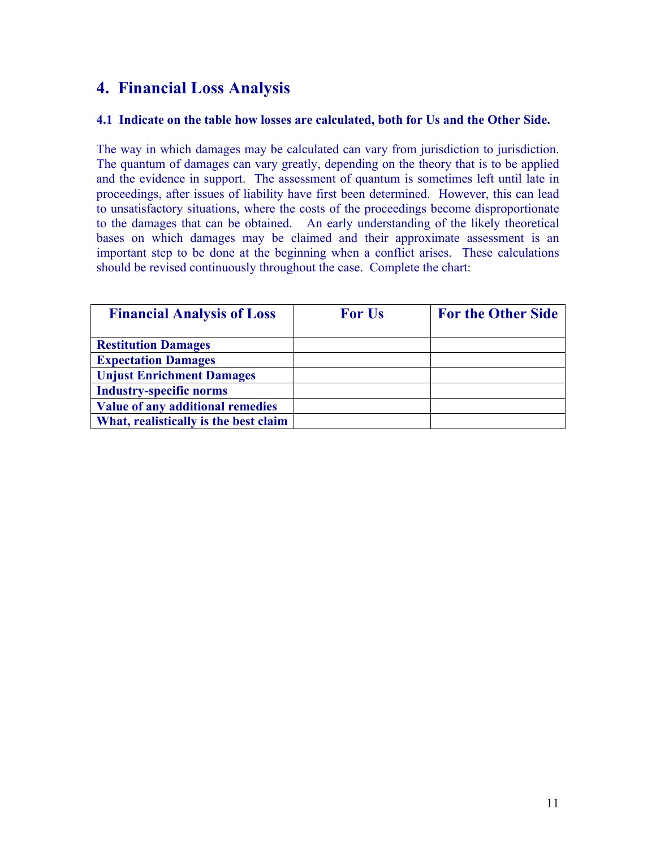# **4. Financial Loss Analysis**

#### **4.1 Indicate on the table how losses are calculated, both for Us and the Other Side.**

The way in which damages may be calculated can vary from jurisdiction to jurisdiction. The quantum of damages can vary greatly, depending on the theory that is to be applied and the evidence in support. The assessment of quantum is sometimes left until late in proceedings, after issues of liability have first been determined. However, this can lead to unsatisfactory situations, where the costs of the proceedings become disproportionate to the damages that can be obtained. An early understanding of the likely theoretical bases on which damages may be claimed and their approximate assessment is an important step to be done at the beginning when a conflict arises. These calculations should be revised continuously throughout the case. Complete the chart:

| <b>Financial Analysis of Loss</b>     | <b>For Us</b> | <b>For the Other Side</b> |
|---------------------------------------|---------------|---------------------------|
| <b>Restitution Damages</b>            |               |                           |
| <b>Expectation Damages</b>            |               |                           |
| <b>Unjust Enrichment Damages</b>      |               |                           |
| <b>Industry-specific norms</b>        |               |                           |
| Value of any additional remedies      |               |                           |
| What, realistically is the best claim |               |                           |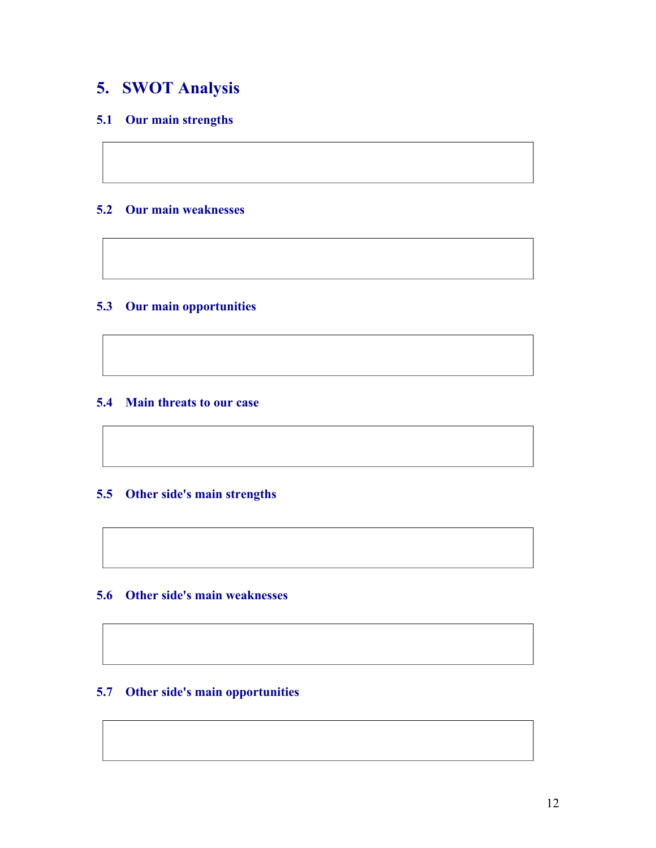# **5. SWOT Analysis**

#### **5.1 Our main strengths**

#### **5.2 Our main weaknesses**

#### **5.3 Our main opportunities**

#### **5.4 Main threats to our case**

#### **5.5 Other side's main strengths**

#### **5.6 Other side's main weaknesses**

#### **5.7 Other side's main opportunities**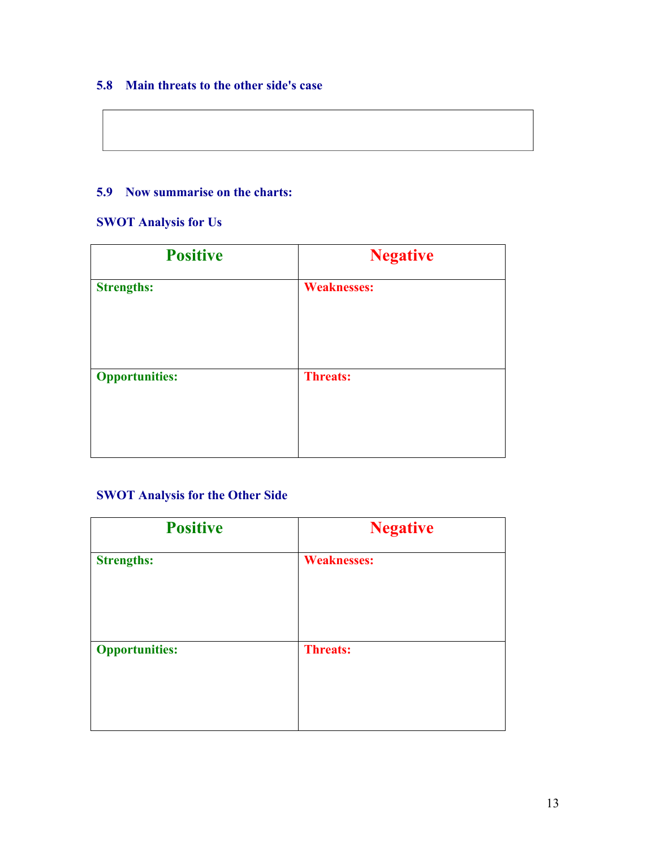#### **5.8 Main threats to the other side's case**

#### **5.9 Now summarise on the charts:**

#### **SWOT Analysis for Us**

| <b>Positive</b>       | <b>Negative</b>    |
|-----------------------|--------------------|
| <b>Strengths:</b>     | <b>Weaknesses:</b> |
| <b>Opportunities:</b> | <b>Threats:</b>    |

#### **SWOT Analysis for the Other Side**

| <b>Positive</b>       | <b>Negative</b>    |
|-----------------------|--------------------|
| <b>Strengths:</b>     | <b>Weaknesses:</b> |
| <b>Opportunities:</b> | <b>Threats:</b>    |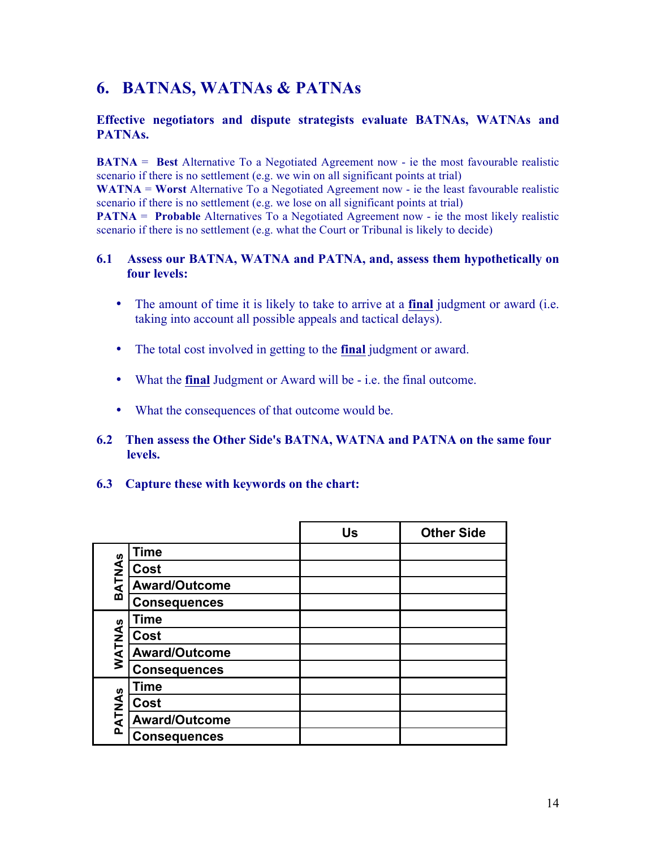# **6. BATNAS, WATNAs & PATNAs**

#### **Effective negotiators and dispute strategists evaluate BATNAs, WATNAs and PATNAs.**

**BATNA** = **Best** Alternative To a Negotiated Agreement now - ie the most favourable realistic scenario if there is no settlement (e.g. we win on all significant points at trial)

**WATNA** = **Worst** Alternative To a Negotiated Agreement now - ie the least favourable realistic scenario if there is no settlement (e.g. we lose on all significant points at trial)

**PATNA** = **Probable** Alternatives To a Negotiated Agreement now - ie the most likely realistic scenario if there is no settlement (e.g. what the Court or Tribunal is likely to decide)

#### **6.1 Assess our BATNA, WATNA and PATNA, and, assess them hypothetically on four levels:**

- The amount of time it is likely to take to arrive at a **final** judgment or award (i.e. taking into account all possible appeals and tactical delays).
- The total cost involved in getting to the **final** judgment or award.
- What the **final** Judgment or Award will be i.e. the final outcome.
- What the consequences of that outcome would be.
- **6.2 Then assess the Other Side's BATNA, WATNA and PATNA on the same four levels.**
- **6.3 Capture these with keywords on the chart:**

|        |                      | Us | <b>Other Side</b> |
|--------|----------------------|----|-------------------|
|        | <b>Time</b>          |    |                   |
| BATNAS | Cost                 |    |                   |
|        | <b>Award/Outcome</b> |    |                   |
|        | <b>Consequences</b>  |    |                   |
|        | Time                 |    |                   |
|        | Cost                 |    |                   |
| WATNAS | <b>Award/Outcome</b> |    |                   |
|        | <b>Consequences</b>  |    |                   |
|        | <b>Time</b>          |    |                   |
|        | Cost                 |    |                   |
| PATNAS | <b>Award/Outcome</b> |    |                   |
|        | <b>Consequences</b>  |    |                   |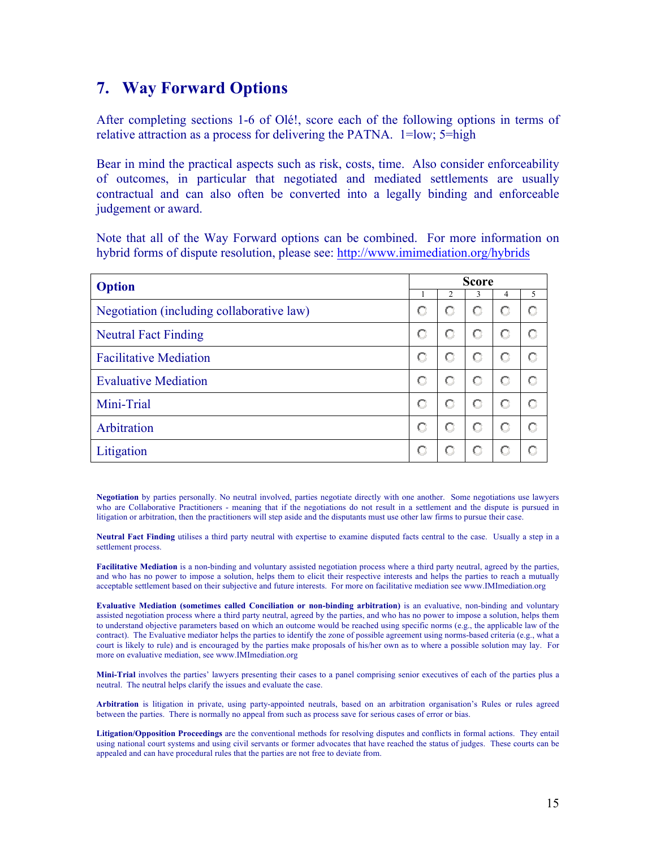### **7. Way Forward Options**

After completing sections 1-6 of Olé!, score each of the following options in terms of relative attraction as a process for delivering the PATNA. 1=low; 5=high

Bear in mind the practical aspects such as risk, costs, time. Also consider enforceability of outcomes, in particular that negotiated and mediated settlements are usually contractual and can also often be converted into a legally binding and enforceable judgement or award.

Note that all of the Way Forward options can be combined. For more information on hybrid forms of dispute resolution, please see: http://www.imimediation.org/hybrids

| <b>Option</b>                             |   | <b>Score</b> |   |   |   |
|-------------------------------------------|---|--------------|---|---|---|
|                                           |   | 2            | 3 | 4 | 5 |
| Negotiation (including collaborative law) | О | о            | О | O | О |
| <b>Neutral Fact Finding</b>               | О | о            | O | O | С |
| <b>Facilitative Mediation</b>             | О | О            | О | О |   |
| <b>Evaluative Mediation</b>               | О | О            | O | О | О |
| Mini-Trial                                | о | о            | O | О | O |
| Arbitration                               | О | О            | о | О |   |
| Litigation                                | о |              |   | О |   |

**Negotiation** by parties personally. No neutral involved, parties negotiate directly with one another. Some negotiations use lawyers who are Collaborative Practitioners - meaning that if the negotiations do not result in a settlement and the dispute is pursued in litigation or arbitration, then the practitioners will step aside and the disputants must use other law firms to pursue their case.

**Neutral Fact Finding** utilises a third party neutral with expertise to examine disputed facts central to the case. Usually a step in a settlement process.

**Facilitative Mediation** is a non-binding and voluntary assisted negotiation process where a third party neutral, agreed by the parties, and who has no power to impose a solution, helps them to elicit their respective interests and helps the parties to reach a mutually acceptable settlement based on their subjective and future interests. For more on facilitative mediation see www.IMImediation.org

**Evaluative Mediation (sometimes called Conciliation or non-binding arbitration)** is an evaluative, non-binding and voluntary assisted negotiation process where a third party neutral, agreed by the parties, and who has no power to impose a solution, helps them to understand objective parameters based on which an outcome would be reached using specific norms (e.g., the applicable law of the contract). The Evaluative mediator helps the parties to identify the zone of possible agreement using norms-based criteria (e.g., what a court is likely to rule) and is encouraged by the parties make proposals of his/her own as to where a possible solution may lay. For more on evaluative mediation, see www.IMImediation.org

**Mini-Trial** involves the parties' lawyers presenting their cases to a panel comprising senior executives of each of the parties plus a neutral. The neutral helps clarify the issues and evaluate the case.

**Arbitration** is litigation in private, using party-appointed neutrals, based on an arbitration organisation's Rules or rules agreed between the parties. There is normally no appeal from such as process save for serious cases of error or bias.

**Litigation/Opposition Proceedings** are the conventional methods for resolving disputes and conflicts in formal actions. They entail using national court systems and using civil servants or former advocates that have reached the status of judges. These courts can be appealed and can have procedural rules that the parties are not free to deviate from.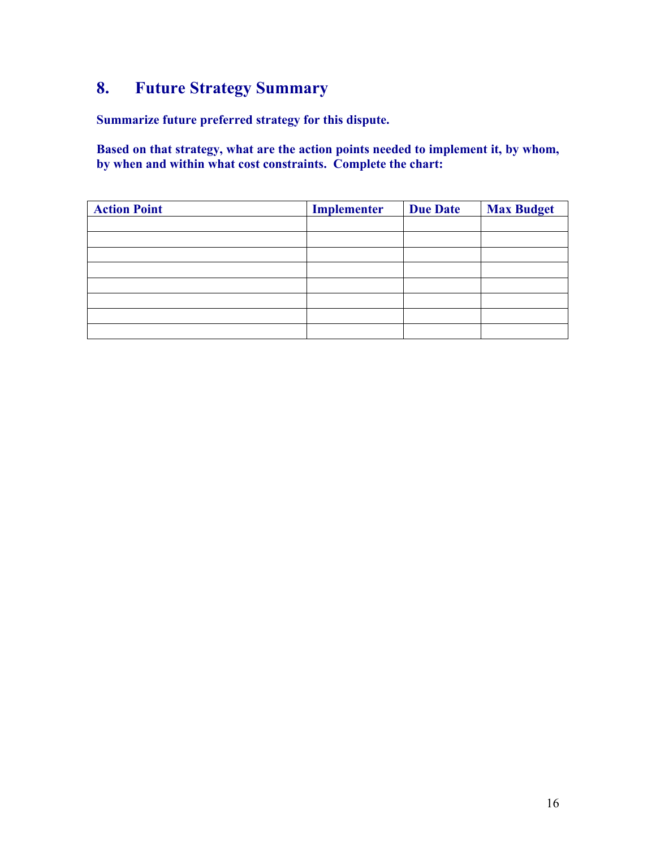# **8. Future Strategy Summary**

**Summarize future preferred strategy for this dispute.**

**Based on that strategy, what are the action points needed to implement it, by whom, by when and within what cost constraints. Complete the chart:**

| <b>Action Point</b> | Implementer | <b>Due Date</b> | <b>Max Budget</b> |
|---------------------|-------------|-----------------|-------------------|
|                     |             |                 |                   |
|                     |             |                 |                   |
|                     |             |                 |                   |
|                     |             |                 |                   |
|                     |             |                 |                   |
|                     |             |                 |                   |
|                     |             |                 |                   |
|                     |             |                 |                   |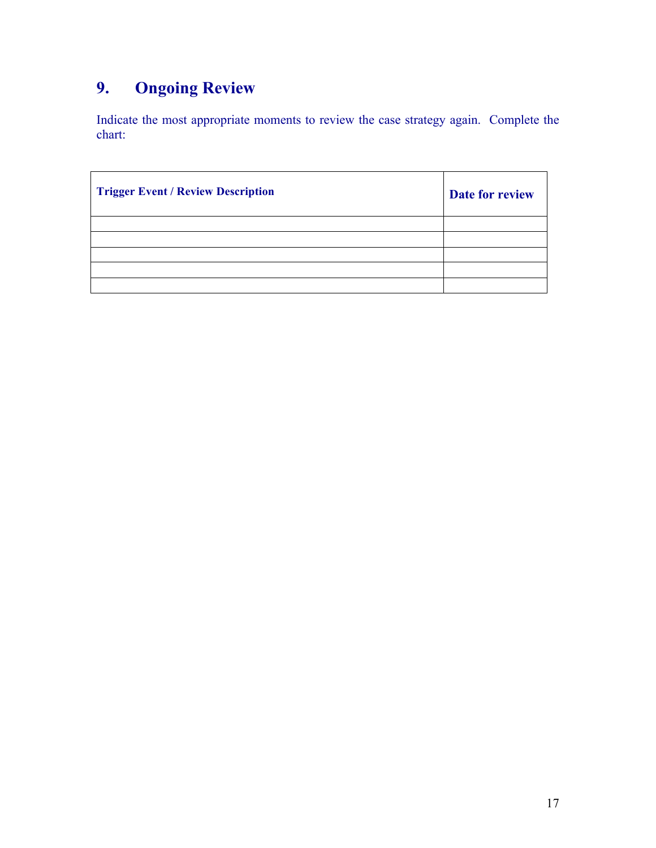# **9. Ongoing Review**

Indicate the most appropriate moments to review the case strategy again. Complete the chart:

| <b>Trigger Event / Review Description</b> | Date for review |
|-------------------------------------------|-----------------|
|                                           |                 |
|                                           |                 |
|                                           |                 |
|                                           |                 |
|                                           |                 |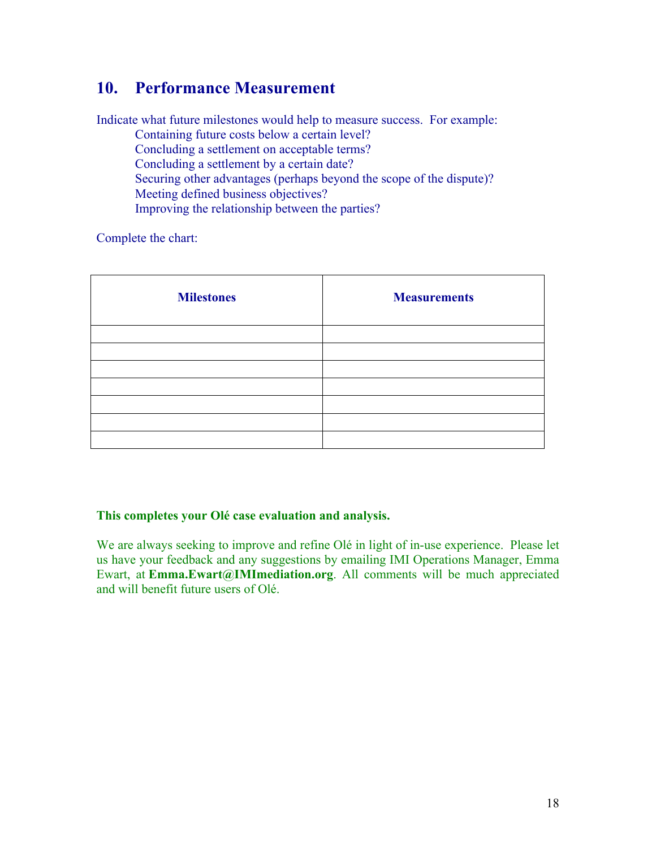# **10. Performance Measurement**

Indicate what future milestones would help to measure success. For example:

Containing future costs below a certain level? Concluding a settlement on acceptable terms? Concluding a settlement by a certain date? Securing other advantages (perhaps beyond the scope of the dispute)? Meeting defined business objectives? Improving the relationship between the parties?

Complete the chart:

| <b>Milestones</b> | <b>Measurements</b> |
|-------------------|---------------------|
|                   |                     |
|                   |                     |
|                   |                     |
|                   |                     |
|                   |                     |
|                   |                     |
|                   |                     |

#### **This completes your Olé case evaluation and analysis.**

We are always seeking to improve and refine Olé in light of in-use experience. Please let us have your feedback and any suggestions by emailing IMI Operations Manager, Emma Ewart, at **Emma.Ewart@IMImediation.org**. All comments will be much appreciated and will benefit future users of Olé.